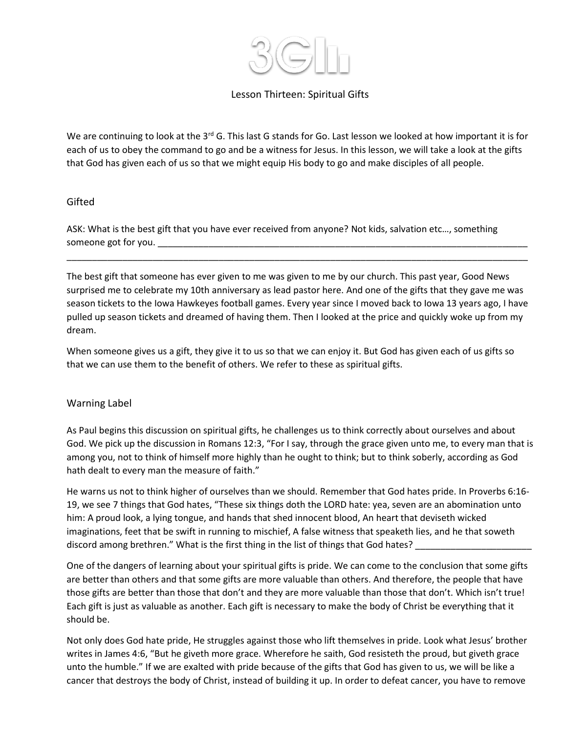

# Lesson Thirteen: Spiritual Gifts

We are continuing to look at the  $3^{rd}$  G. This last G stands for Go. Last lesson we looked at how important it is for each of us to obey the command to go and be a witness for Jesus. In this lesson, we will take a look at the gifts that God has given each of us so that we might equip His body to go and make disciples of all people.

### Gifted

ASK: What is the best gift that you have ever received from anyone? Not kids, salvation etc…, something someone got for you. \_\_\_\_\_\_\_

The best gift that someone has ever given to me was given to me by our church. This past year, Good News surprised me to celebrate my 10th anniversary as lead pastor here. And one of the gifts that they gave me was season tickets to the Iowa Hawkeyes football games. Every year since I moved back to Iowa 13 years ago, I have pulled up season tickets and dreamed of having them. Then I looked at the price and quickly woke up from my dream.

\_\_\_\_\_\_\_\_\_\_\_\_\_\_\_\_\_\_\_\_\_\_\_\_\_\_\_\_\_\_\_\_\_\_\_\_\_\_\_\_\_\_\_\_\_\_\_\_\_\_\_\_\_\_\_\_\_\_\_\_\_\_\_\_\_\_\_\_\_\_\_\_\_\_\_\_\_\_\_\_\_\_\_\_\_\_\_\_\_\_\_

When someone gives us a gift, they give it to us so that we can enjoy it. But God has given each of us gifts so that we can use them to the benefit of others. We refer to these as spiritual gifts.

## Warning Label

As Paul begins this discussion on spiritual gifts, he challenges us to think correctly about ourselves and about God. We pick up the discussion in Romans 12:3, "For I say, through the grace given unto me, to every man that is among you, not to think of himself more highly than he ought to think; but to think soberly, according as God hath dealt to every man the measure of faith."

He warns us not to think higher of ourselves than we should. Remember that God hates pride. In Proverbs 6:16- 19, we see 7 things that God hates, "These six things doth the LORD hate: yea, seven are an abomination unto him: A proud look, a lying tongue, and hands that shed innocent blood, An heart that deviseth wicked imaginations, feet that be swift in running to mischief, A false witness that speaketh lies, and he that soweth discord among brethren." What is the first thing in the list of things that God hates?

One of the dangers of learning about your spiritual gifts is pride. We can come to the conclusion that some gifts are better than others and that some gifts are more valuable than others. And therefore, the people that have those gifts are better than those that don't and they are more valuable than those that don't. Which isn't true! Each gift is just as valuable as another. Each gift is necessary to make the body of Christ be everything that it should be.

Not only does God hate pride, He struggles against those who lift themselves in pride. Look what Jesus' brother writes in James 4:6, "But he giveth more grace. Wherefore he saith, God resisteth the proud, but giveth grace unto the humble." If we are exalted with pride because of the gifts that God has given to us, we will be like a cancer that destroys the body of Christ, instead of building it up. In order to defeat cancer, you have to remove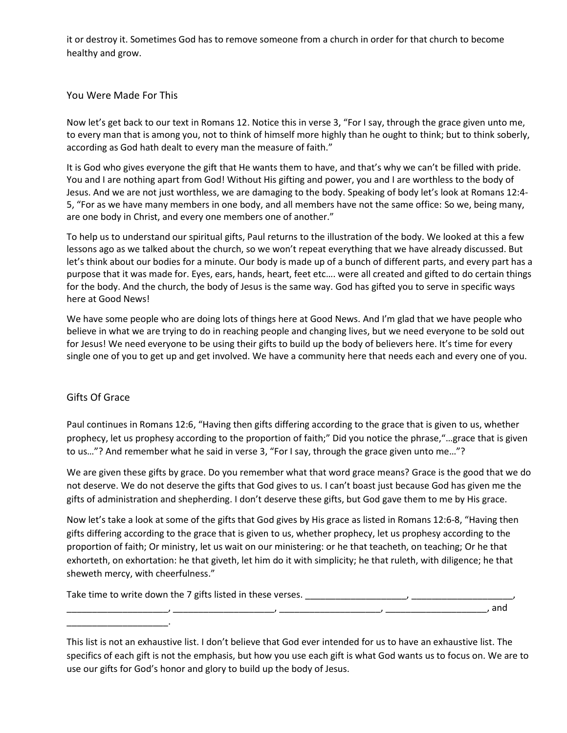it or destroy it. Sometimes God has to remove someone from a church in order for that church to become healthy and grow.

#### You Were Made For This

Now let's get back to our text in Romans 12. Notice this in verse 3, "For I say, through the grace given unto me, to every man that is among you, not to think of himself more highly than he ought to think; but to think soberly, according as God hath dealt to every man the measure of faith."

It is God who gives everyone the gift that He wants them to have, and that's why we can't be filled with pride. You and I are nothing apart from God! Without His gifting and power, you and I are worthless to the body of Jesus. And we are not just worthless, we are damaging to the body. Speaking of body let's look at Romans 12:4- 5, "For as we have many members in one body, and all members have not the same office: So we, being many, are one body in Christ, and every one members one of another."

To help us to understand our spiritual gifts, Paul returns to the illustration of the body. We looked at this a few lessons ago as we talked about the church, so we won't repeat everything that we have already discussed. But let's think about our bodies for a minute. Our body is made up of a bunch of different parts, and every part has a purpose that it was made for. Eyes, ears, hands, heart, feet etc…. were all created and gifted to do certain things for the body. And the church, the body of Jesus is the same way. God has gifted you to serve in specific ways here at Good News!

We have some people who are doing lots of things here at Good News. And I'm glad that we have people who believe in what we are trying to do in reaching people and changing lives, but we need everyone to be sold out for Jesus! We need everyone to be using their gifts to build up the body of believers here. It's time for every single one of you to get up and get involved. We have a community here that needs each and every one of you.

## Gifts Of Grace

\_\_\_\_\_\_\_\_\_\_\_\_\_\_\_\_\_\_\_\_.

Paul continues in Romans 12:6, "Having then gifts differing according to the grace that is given to us, whether prophecy, let us prophesy according to the proportion of faith;" Did you notice the phrase,"…grace that is given to us…"? And remember what he said in verse 3, "For I say, through the grace given unto me…"?

We are given these gifts by grace. Do you remember what that word grace means? Grace is the good that we do not deserve. We do not deserve the gifts that God gives to us. I can't boast just because God has given me the gifts of administration and shepherding. I don't deserve these gifts, but God gave them to me by His grace.

Now let's take a look at some of the gifts that God gives by His grace as listed in Romans 12:6-8, "Having then gifts differing according to the grace that is given to us, whether prophecy, let us prophesy according to the proportion of faith; Or ministry, let us wait on our ministering: or he that teacheth, on teaching; Or he that exhorteth, on exhortation: he that giveth, let him do it with simplicity; he that ruleth, with diligence; he that sheweth mercy, with cheerfulness."

Take time to write down the 7 gifts listed in these verses. \_\_\_\_\_\_\_\_\_\_\_\_\_\_\_\_\_\_\_\_, \_\_

\_\_\_\_\_\_\_\_\_\_\_\_\_\_\_\_\_\_\_\_, \_\_\_\_\_\_\_\_\_\_\_\_\_\_\_\_\_\_\_\_, \_\_\_\_\_\_\_\_\_\_\_\_\_\_\_\_\_\_\_\_, \_\_\_\_\_\_\_\_\_\_\_\_\_\_\_\_\_\_\_\_, and

This list is not an exhaustive list. I don't believe that God ever intended for us to have an exhaustive list. The specifics of each gift is not the emphasis, but how you use each gift is what God wants us to focus on. We are to use our gifts for God's honor and glory to build up the body of Jesus.